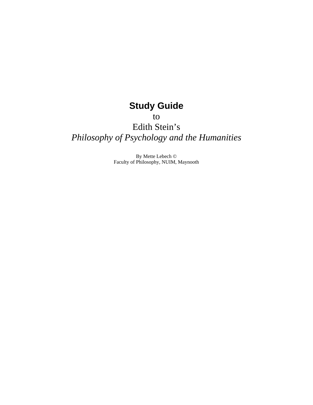# **Study Guide**

to

# Edith Stein's *Philosophy of Psychology and the Humanities*

By Mette Lebech © Faculty of Philosophy, NUIM, Maynooth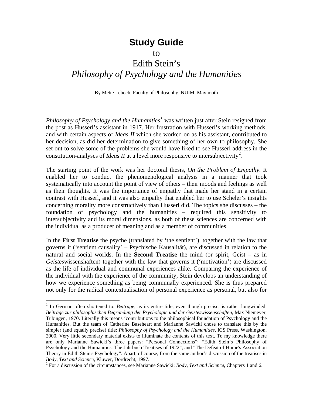# **Study Guide**

to

# Edith Stein's *Philosophy of Psychology and the Humanities*

By Mette Lebech, Faculty of Philosophy, NUIM, Maynooth

*Philosophy of Psychology and the Humanities[1](#page-1-0)* was written just after Stein resigned from the post as Husserl's assistant in 1917. Her frustration with Husserl's working methods, and with certain aspects of *Ideas II* which she worked on as his assistant, contributed to her decision, as did her determination to give something of her own to philosophy. She set out to solve some of the problems she would have liked to see Husserl address in the constitution-analyses of *Ideas II* at a level more responsive to intersubjectivity<sup>[2](#page-1-1)</sup>.

The starting point of the work was her doctoral thesis, *On the Problem of Empathy*. It enabled her to conduct the phenomenological analysis in a manner that took systematically into account the point of view of others – their moods and feelings as well as their thoughts. It was the importance of empathy that made her stand in a certain contrast with Husserl, and it was also empathy that enabled her to use Scheler's insights concerning morality more constructively than Husserl did. The topics she discusses – the foundation of psychology and the humanities – required this sensitivity to intersubjectivity and its moral dimensions, as both of these sciences are concerned with the individual as a producer of meaning and as a member of communities.

In the **First Treatise** the psyche (translated by 'the sentient'), together with the law that governs it ('sentient causality' – Psychische Kausalität), are discussed in relation to the natural and social worlds. In the **Second Treatise** the mind (or spirit, Geist – as in *Geistes*wissenshaften) together with the law that governs it ('motivation') are discussed as the life of individual and communal experiences alike. Comparing the experience of the individual with the experience of the community, Stein develops an understanding of how we experience something as being communally experienced. She is thus prepared not only for the radical contextualisation of personal experience as personal, but also for

 $\overline{a}$ 

<span id="page-1-0"></span><sup>&</sup>lt;sup>1</sup> In German often shortened to: *Beiträge*, as its entire title, even though precise, is rather longwinded: *Beiträge zur philosophischen Begründung der Psychologie und der Geisteswissenschaften,* Max Niemeyer, Tübingen, 1970. Literally this means 'contributions to the philosophical foundation of Psychology and the Humanities. But the team of Catherine Baseheart and Marianne Sawicki chose to translate this by the simpler (and equally precise) title: *Philosophy of Psychology and the Humanities*, ICS Press, Washington, 2000. Very little secondary material exists to illuminate the contents of this text. To my knowledge there are only Marianne Sawicki's three papers: "Personal Connections"; "Edith Stein's Philosophy of Psychology and the Humanities. The Jahrbuch Treatises of 1922", and "The Defeat of Hume's Association Theory in Edith Stein's Psychology". Apart, of course, from the same author's discussion of the treatises in *Body, Text and Science*, Kluwer, Dordrecht, 1997. 2

<span id="page-1-1"></span>For a discussion of the circumstances, see Marianne Sawicki: *Body, Text and Science*, Chapters 1 and 6.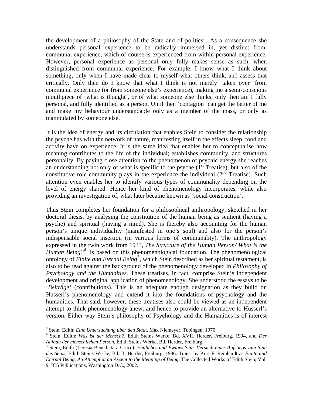the development of a philosophy of the State and of politics<sup>[3](#page-2-0)</sup>. As a consequence she understands personal experience to be radically immersed in, yet distinct from, communal experience, which of course is experienced from within personal experience. However, personal experience as personal only fully makes sense as such, when distinguished from communal experience. For example: I know what I think about something, only when I have made clear to myself what others think, and assess that critically. Only then do I know that what I think is not merely 'taken over' from communal experience (or from someone else's experience), making me a semi-conscious mouthpiece of 'what is thought', or of what someone else thinks; only then am I fully personal, and fully identified as a person. Until then 'contagion' can get the better of me and make my behaviour understandable only as a member of the mass, or only as manipulated by someone else.

It is the idea of energy and its circulation that enables Stein to consider the relationship the psyche has with the network of nature, manifesting itself in the effects sleep, food and activity have on experience. It is the same idea that enables her to conceptualise how meaning contributes to the life of the individual; establishes community, and structures personality. By paying close attention to the phenomenon of psychic energy she reaches an understanding not only of what is specific to the psyche  $(1<sup>st</sup> Treatise)$ , but also of the constitutive role community plays in the experience the individual  $(2<sup>nd</sup> Treatise)$ . Such attention even enables her to identify various types of communality depending on the level of energy shared. Hence her kind of phenomenology incorporates, while also providing an investigation of, what later became known as 'social construction'.

Thus Stein completes her foundation for a philosophical anthropology, sketched in her doctoral thesis, by analysing the constitution of the human being as sentient (having a psyche) and spiritual (having a mind). She is thereby also accounting for the human person's unique individuality (manifested in one's soul) and also for the person's indispensable social insertion (in various forms of communality). The anthropology expressed in the twin work from 1933, *The Structure of the Human Person/ What is the Human Being?<sup>[4](#page-2-1)</sup>*, is based on this phenomenological foundation. The phenomenological ontology of *Finite and Eternal Being[5](#page-2-2)* , which Stein described as her spiritual testament, is also to be read against the background of the phenomenology developed in *Philosophy of Psychology and the Humanities*. These treatises, in fact, comprise Stein's independent development and original application of phenomenology. She understood the essays to be '*Beiträge'* (contributions). This is an adequate enough designation as they build on Husserl's phenomenology and extend it into the foundations of psychology and the humanities. That said, however, these treatises also could be viewed as an independent attempt to think phenomenology anew, and hence to provide an alternative to Husserl's version. Either way Stein's philosophy of Psychology and the Humanities is of interest

 $\overline{a}$ 

<sup>&</sup>lt;sup>3</sup> Stein, Edith: *Eine Untersuchung über den Staat*, Max Niemeyer, Tubingen, 1970.<br><sup>4</sup> Stein, Edith: *Was ist der Mansch*<sup>2</sup>, Edith Steins Warke, Pd. XVII. Harder, Et

<span id="page-2-1"></span><span id="page-2-0"></span>Stein, Edith: *Was ist der Mensch?*, Edith Steins Werke, Bd. XVII, Herder, Freiburg, 1994, and *Der Aufbau der menschlichen Person*, Edith Steins Werke, Bd. Herder, Freiburg, 5

<span id="page-2-2"></span>Stein, Edith (Teresia Benedicta a Cruce): *Endliches und Ewiges Sein. Versuch eines Aufstiegs zum Sinn des Seins*, Edith Steins Werke, Bd. II, Herder, Freiburg, 1986. Trans. by Kurt F. Reinhardt as *Finite and Eternal Being. An Attempt at an Ascent to the Meaning of Being*, The Collected Works of Edith Stein, Vol. 9, ICS Publications, Washington D.C., 2002.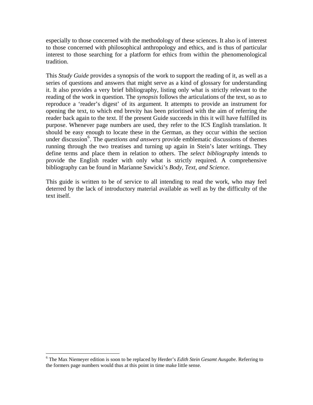especially to those concerned with the methodology of these sciences. It also is of interest to those concerned with philosophical anthropology and ethics, and is thus of particular interest to those searching for a platform for ethics from within the phenomenological tradition.

This *Study Guide* provides a synopsis of the work to support the reading of it, as well as a series of questions and answers that might serve as a kind of glossary for understanding it. It also provides a very brief bibliography, listing only what is strictly relevant to the reading of the work in question. The *synopsis* follows the articulations of the text, so as to reproduce a 'reader's digest' of its argument. It attempts to provide an instrument for opening the text, to which end brevity has been prioritised with the aim of referring the reader back again to the text. If the present Guide succeeds in this it will have fulfilled its purpose. Whenever page numbers are used, they refer to the ICS English translation. It should be easy enough to locate these in the German, as they occur within the section under discussion<sup>[6](#page-3-0)</sup>. The *questions and answers* provide emblematic discussions of themes running through the two treatises and turning up again in Stein's later writings. They define terms and place them in relation to others. The *select bibliography* intends to provide the English reader with only what is strictly required. A comprehensive bibliography can be found in Marianne Sawicki's *Body, Text, and Science*.

This guide is written to be of service to all intending to read the work, who may feel deterred by the lack of introductory material available as well as by the difficulty of the text itself.

<span id="page-3-0"></span> 6 The Max Niemeyer edition is soon to be replaced by Herder's *Edith Stein Gesamt Ausgabe.* Referring to the formers page numbers would thus at this point in time make little sense.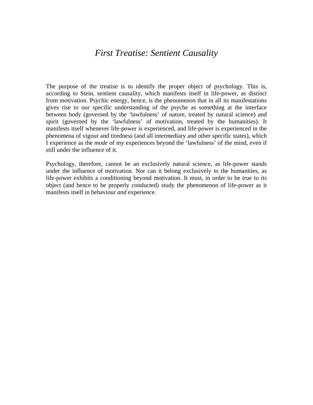# *First Treatise: Sentient Causality*

The purpose of the treatise is to identify the proper object of psychology. This is, according to Stein, sentient causality, which manifests itself in life-power, as distinct from motivation. Psychic energy, hence, is the phenomenon that in all its manifestations gives rise to our specific understanding of the psyche as something at the interface between body (governed by the 'lawfulness' of nature, treated by natural science) and spirit (governed by the 'lawfulness' of motivation, treated by the humanities). It manifests itself whenever life-power is experienced, and life-power is experienced in the phenomena of vigour and tiredness (and all intermediary and other specific states), which I experience as the *mode* of my experiences beyond the 'lawfulness' of the mind, even if still under the influence of it.

Psychology, therefore, cannot be an exclusively natural science, as life-power stands under the influence of motivation. Nor can it belong exclusively to the humanities, as life-power exhibits a conditioning beyond motivation. It must, in order to be true to its object (and hence to be properly conducted) study the phenomenon of life-power as it manifests itself in behaviour *and* experience.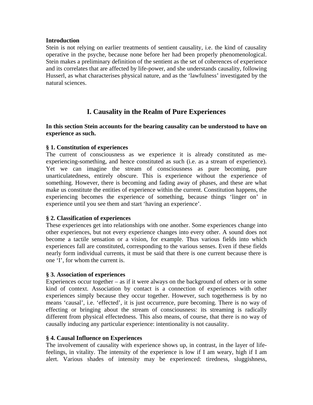#### **Introduction**

Stein is not relying on earlier treatments of sentient causality, i.e. the kind of causality operative in the psyche, because none before her had been properly phenomenological. Stein makes a preliminary definition of the sentient as the set of coherences of experience and its correlates that are affected by life-power, and she understands causality, following Husserl, as what characterises physical nature, and as the 'lawfulness' investigated by the natural sciences.

## **I. Causality in the Realm of Pure Experiences**

#### **In this section Stein accounts for the bearing causality can be understood to have on experience as such.**

#### **§ 1. Constitution of experiences**

The current of consciousness as we experience it is already constituted as meexperiencing-something, and hence constituted as such (i.e. as a stream of experience). Yet we can imagine the stream of consciousness as pure becoming, pure unarticulatedness, entirely obscure. This is experience without the experience of something. However, there is becoming and fading away of phases, and these are what make us constitute the entities of experience within the current. Constitution happens, the experiencing becomes the experience of something, because things 'linger on' in experience until you see them and start 'having an experience'.

#### **§ 2. Classification of experiences**

These experiences get into relationships with one another. Some experiences change into other experiences, but not every experience changes into every other. A sound does not become a tactile sensation or a vision, for example. Thus various fields into which experiences fall are constituted, corresponding to the various senses. Even if these fields nearly form individual currents, it must be said that there is one current because there is one 'I', for whom the current is.

#### **§ 3. Association of experiences**

Experiences occur together  $-$  as if it were always on the background of others or in some kind of context. Association by contact is a connection of experiences with other experiences simply because they occur together. However, such togetherness is by no means 'causal', i.e. 'effected', it is just occurrence, pure becoming. There is no way of effecting or bringing about the stream of consciousness: its streaming is radically different from physical effectedness. This also means, of course, that there is no way of causally inducing any particular experience: intentionality is not causality.

#### **§ 4. Causal Influence on Experiences**

The involvement of causality with experience shows up, in contrast, in the layer of lifefeelings, in vitality. The intensity of the experience is low if I am weary, high if I am alert. Various shades of intensity may be experienced: tiredness, sluggishness,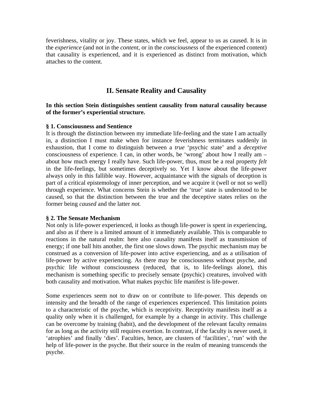feverishness, vitality or joy. These states, which we feel, appear to us as caused. It is in the *experience* (and not in the *content*, or in the *consciousness* of the experienced content) that causality is experienced, and it is experienced as distinct from motivation, which attaches to the content.

## **II. Sensate Reality and Causality**

#### **In this section Stein distinguishes sentient causality from natural causality because of the former's experiential structure.**

#### **§ 1. Consciousness and Sentience**

It is through the distinction between my immediate life-feeling and the state I am actually in, a distinction I must make when for instance feverishness terminates suddenly in exhaustion, that I come to distinguish between a *true* 'psychic state' and a *deceptive*  consciousness of experience. I can, in other words, be 'wrong' about how I really am – about how much energy I really have. Such life-power, thus, must be a real property *felt*  in the life-feelings, but sometimes deceptively so. Yet I know about the life-power always only in this fallible way. However, acquaintance with the signals of deception is part of a critical epistemology of inner perception, and we acquire it (well or not so well) through experience. What concerns Stein is whether the 'true' state is understood to be caused, so that the distinction between the true and the deceptive states relies on the former being *caused* and the latter *not.* 

#### **§ 2. The Sensate Mechanism**

Not only is life-power experienced, it looks as though life-power is spent in experiencing, and also as if there is a limited amount of it immediately available. This is comparable to reactions in the natural realm: here also causality manifests itself as transmission of energy; if one ball hits another, the first one slows down. The psychic mechanism may be construed as a conversion of life-power into active experiencing, and as a utilisation of life-power by active experiencing. As there may be consciousness without psyche, and psychic life without consciousness (reduced, that is, to life-feelings alone), this mechanism is something specific to precisely sensate (psychic) creatures, involved with both causality and motivation. What makes psychic life manifest is life-power.

Some experiences seem not to draw on or contribute to life-power. This depends on intensity and the breadth of the range of experiences experienced. This limitation points to a characteristic of the psyche, which is receptivity. Receptivity manifests itself as a quality only when it is challenged, for example by a change in activity. This challenge can be overcome by training (habit), and the development of the relevant faculty remains for as long as the activity still requires exertion. In contrast, if the faculty is never used, it 'atrophies' and finally 'dies'. Faculties, hence, are clusters of 'facilities', 'run' with the help of life-power in the psyche. But their source in the realm of meaning transcends the psyche.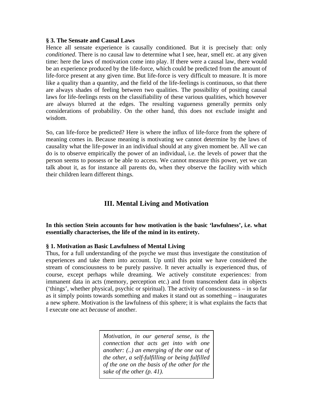#### **§ 3. The Sensate and Causal Laws**

Hence all sensate experience is causally conditioned. But it is precisely that: only *conditioned*. There is no causal law to determine what I see, hear, smell etc. at any given time: here the laws of motivation come into play. If there were a causal law, there would be an experience produced by the life-force, which could be predicted from the amount of life-force present at any given time. But life-force is very difficult to measure. It is more like a quality than a quantity, and the field of the life-feelings is continuous, so that there are always shades of feeling between two qualities. The possibility of positing causal laws for life-feelings rests on the classifiability of these various qualities, which however are always blurred at the edges. The resulting vagueness generally permits only considerations of probability. On the other hand, this does not exclude insight and wisdom.

So, can life-force be predicted? Here is where the influx of life-force from the sphere of meaning comes in. Because meaning is motivating we cannot determine by the laws of causality what the life-power in an individual should at any given moment be. All we can do is to observe empirically the power of an individual, i.e. the levels of power that the person seems to possess or be able to access. We cannot measure this power, yet we can talk about it, as for instance all parents do, when they observe the facility with which their children learn different things.

# **III. Mental Living and Motivation**

**In this section Stein accounts for how motivation is the basic 'lawfulness', i.e. what essentially characterises, the life of the mind in its entirety.** 

## **§ 1. Motivation as Basic Lawfulness of Mental Living**

Thus, for a full understanding of the psyche we must thus investigate the constitution of experiences and take them into account. Up until this point we have considered the stream of consciousness to be purely passive. It never actually is experienced thus, of course, except perhaps while dreaming. We actively constitute experiences: from immanent data in acts (memory, perception etc.) and from transcendent data in objects ('things', whether physical, psychic or spiritual). The activity of consciousness – in so far as it simply points towards something and makes it stand out as something – inaugurates a new sphere. Motivation is the lawfulness of this sphere; it is what explains the facts that I execute one act *because* of another.

> *Motivation, in our general sense, is the connection that acts get into with one another: (..) an emerging of the one out of the other, a self-fulfilling or being fulfilled of the one on the basis of the other for the sake of the other (p. 41).*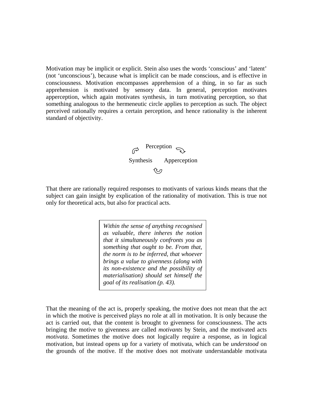Motivation may be implicit or explicit. Stein also uses the words 'conscious' and 'latent' (not 'unconscious'), because what is implicit can be made conscious, and is effective in consciousness. Motivation encompasses apprehension of a thing, in so far as such apprehension is motivated by sensory data. In general, perception motivates apperception, which again motivates synthesis, in turn motivating perception, so that something analogous to the hermeneutic circle applies to perception as such. The object perceived rationally requires a certain perception, and hence rationality is the inherent standard of objectivity.

Perception  $\epsilon$  Synthesis Apperception へっ

That there are rationally required responses to motivants of various kinds means that the subject can gain insight by explication of the rationality of motivation. This is true not only for theoretical acts, but also for practical acts.

> *Within the sense of anything recognised as valuable, there inheres the notion that it simultaneously confronts you as something that ought to be. From that, the norm is to be inferred, that whoever brings a value to givenness (along with its non-existence and the possibility of materialisation) should set himself the goal of its realisation (p. 43).*

That the meaning of the act is, properly speaking, the motive does not mean that the act in which the motive is perceived plays no role at all in motivation. It is only because the act is carried out, that the content is brought to givenness for consciousness. The acts bringing the motive to givenness are called *motivants* by Stein, and the motivated acts *motivata*. Sometimes the motive does not logically require a response, as in logical motivation, but instead opens up for a variety of motivata, which can be *understood* on the grounds of the motive. If the motive does not motivate understandable motivata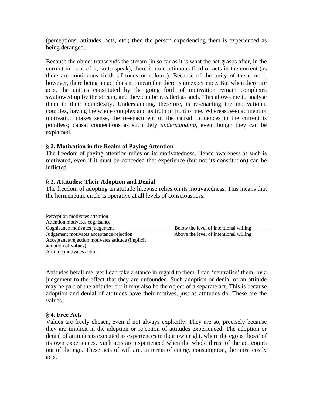(perceptions, attitudes, acts, etc.) then the person experiencing them is experienced as being deranged.

Because the object transcends the stream (in so far as it is what the act grasps after, in the current in front of it, so to speak), there is no continuous field of acts in the current (as there are continuous fields of tones or colours). Because of the unity of the current, however, there being no act does not mean that there is no experience. But when there are acts, the unities constituted by the going forth of motivation remain complexes swallowed up by the stream, and they can be recalled as such. This allows me to analyse them in their complexity. Understanding, therefore, is re-enacting the motivational complex, having the whole complex and its truth in front of me. Whereas re-enactment of motivation makes sense, the re-enactment of the causal influences in the current is pointless; causal connections as such defy *understanding,* even though they can be explained.

#### **§ 2. Motivation in the Realm of Paying Attention**

The freedom of paying attention relies on its motivatedness. Hence awareness as such is motivated, even if it must be conceded that experience (but not its constitution) can be inflicted.

#### **§ 3. Attitudes: Their Adoption and Denial**

The freedom of adopting an attitude likewise relies on its motivatedness. This means that the hermeneutic circle is operative at all levels of consciousness:

| Perception motivates attention                    |                                        |
|---------------------------------------------------|----------------------------------------|
| Attention motivates cognisance                    |                                        |
| Cognisance motivates judgement                    | Below the level of intentional willing |
| Judgement motivates acceptance/rejection          | Above the level of intentional willing |
| Acceptance/rejection motivates attitude (implicit |                                        |
| adoption of <b>values</b> )                       |                                        |
| Attitude motivates action                         |                                        |

Attitudes befall me, yet I can take a stance in regard to them. I can 'neutralise' them, by a judgement to the effect that they are unfounded. Such adoption or denial of an attitude may be part of the attitude, but it may also be the object of a separate act. This is because adoption and denial of attitudes have their motives, just as attitudes do. These are the values.

#### **§ 4. Free Acts**

Values are freely chosen, even if not always explicitly. They are so, precisely because they are implicit in the adoption or rejection of attitudes experienced. The adoption or denial of attitudes is executed as experiences in their own right, where the ego is 'boss' of its own experiences. Such acts are experienced when the whole thrust of the act comes out of the ego. These acts of will are, in terms of energy consumption, the most costly acts.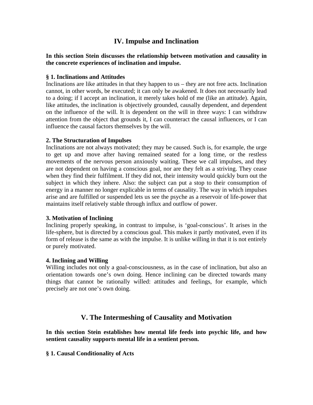## **IV. Impulse and Inclination**

#### **In this section Stein discusses the relationship between motivation and causality in the concrete experiences of inclination and impulse.**

#### **§ 1. Inclinations and Attitudes**

Inclinations are like attitudes in that they happen to  $us$  – they are not free acts. Inclination cannot, in other words, be executed; it can only be awakened. It does not necessarily lead to a doing; if I accept an inclination, it merely takes hold of me (like an attitude). Again, like attitudes, the inclination is objectively grounded, causally dependent, and dependent on the influence of the will. It is dependent on the will in three ways: I can withdraw attention from the object that grounds it, I can counteract the causal influences, or I can influence the causal factors themselves by the will.

#### **2. The Structuration of Impulses**

Inclinations are not always motivated; they may be caused. Such is, for example, the urge to get up and move after having remained seated for a long time, or the restless movements of the nervous person anxiously waiting. These we call impulses, and they are not dependent on having a conscious goal, nor are they felt as a striving. They cease when they find their fulfilment. If they did not, their intensity would quickly burn out the subject in which they inhere. Also: the subject can put a stop to their consumption of energy in a manner no longer explicable in terms of causality. The way in which impulses arise and are fulfilled or suspended lets us see the psyche as a reservoir of life-power that maintains itself relatively stable through influx and outflow of power.

## **3. Motivation of Inclining**

Inclining properly speaking, in contrast to impulse, is 'goal-conscious'. It arises in the life-sphere, but is directed by a conscious goal. This makes it partly motivated, even if its form of release is the same as with the impulse. It is unlike willing in that it is not entirely or purely motivated.

#### **4. Inclining and Willing**

Willing includes not only a goal-consciousness, as in the case of inclination, but also an orientation towards one's own doing. Hence inclining can be directed towards many things that cannot be rationally willed: attitudes and feelings, for example, which precisely are not one's own doing.

## **V. The Intermeshing of Causality and Motivation**

**In this section Stein establishes how mental life feeds into psychic life, and how sentient causality supports mental life in a sentient person.** 

**§ 1. Causal Conditionality of Acts**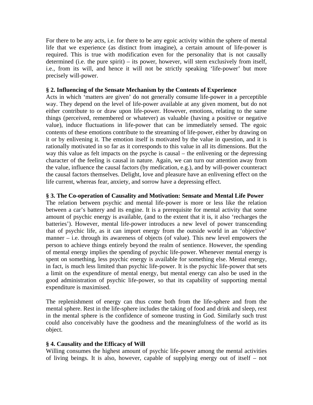For there to be any acts, i.e. for there to be any egoic activity within the sphere of mental life that we experience (as distinct from imagine), a certain amount of life-power is required. This is true with modification even for the personality that is not causally determined (i.e. the pure spirit) – its power, however, will stem exclusively from itself, i.e., from its will, and hence it will not be strictly speaking 'life-power' but more precisely will-power.

#### **§ 2. Influencing of the Sensate Mechanism by the Contents of Experience**

Acts in which 'matters are given' do not generally consume life-power in a perceptible way. They depend on the level of life-power available at any given moment, but do not either contribute to or draw upon life-power. However, emotions, relating to the same things (perceived, remembered or whatever) as valuable (having a positive or negative value), induce fluctuations in life-power that can be immediately sensed. The egoic contents of these emotions contribute to the streaming of life-power, either by drawing on it or by enlivening it. The emotion itself is motivated by the value in question, and it is rationally motivated in so far as it corresponds to this value in all its dimensions. But the way this value as felt impacts on the psyche is causal – the enlivening or the depressing character of the feeling is causal in nature. Again, we can turn our attention away from the value, influence the causal factors (by medication, e.g.), and by will-power counteract the causal factors themselves. Delight, love and pleasure have an enlivening effect on the life current, whereas fear, anxiety, and sorrow have a depressing effect.

#### **§ 3. The Co-operation of Causality and Motivation: Sensate and Mental Life Power**

The relation between psychic and mental life-power is more or less like the relation between a car's battery and its engine. It is a prerequisite for mental activity that some amount of psychic energy is available, (and to the extent that it is, it also 'recharges the batteries'). However, mental life-power introduces a new level of power transcending that of psychic life, as it can import energy from the outside world in an 'objective' manner – i.e. through its awareness of objects (of value). This new level empowers the person to achieve things entirely beyond the realm of sentience. However, the spending of mental energy implies the spending of psychic life-power. Whenever mental energy is spent on something, less psychic energy is available for something else. Mental energy, in fact, is much less limited than psychic life-power. It is the psychic life-power that sets a limit on the expenditure of mental energy, but mental energy can also be used in the good administration of psychic life-power, so that its capability of supporting mental expenditure is maximised.

The replenishment of energy can thus come both from the life-sphere and from the mental sphere. Rest in the life-sphere includes the taking of food and drink and sleep, rest in the mental sphere is the confidence of someone trusting in God. Similarly such trust could also conceivably have the goodness and the meaningfulness of the world as its object.

#### **§ 4. Causality and the Efficacy of Will**

Willing consumes the highest amount of psychic life-power among the mental activities of living beings. It is also, however, capable of supplying energy out of itself – not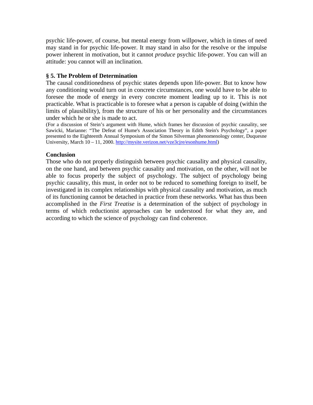psychic life-power, of course, but mental energy from willpower, which in times of need may stand in for psychic life-power. It may stand in also for the resolve or the impulse power inherent in motivation, but it cannot *produce* psychic life-power. You can will an attitude: you cannot will an inclination.

#### **§ 5. The Problem of Determination**

The causal conditionedness of psychic states depends upon life-power. But to know how any conditioning would turn out in concrete circumstances, one would have to be able to foresee the mode of energy in every concrete moment leading up to it. This is not practicable. What is practicable is to foresee what a person is capable of doing (within the limits of plausibility), from the structure of his or her personality and the circumstances under which he or she is made to act.

(For a discussion of Stein's argument with Hume, which frames her discussion of psychic causality, see Sawicki, Marianne: "The Defeat of Hume's Association Theory in Edith Stein's Psychology", a paper presented to the Eighteenth Annual Symposium of the Simon Silverman phenomenology center, Duquesne University, March 10 – 11, 2000.<http://mysite.verizon.net/vze3cjre/esonhume.html>)

#### **Conclusion**

Those who do not properly distinguish between psychic causality and physical causality, on the one hand, and between psychic causality and motivation, on the other, will not be able to focus properly the subject of psychology. The subject of psychology being psychic causality, this must, in order not to be reduced to something foreign to itself, be investigated in its complex relationships with physical causality and motivation, as much of its functioning cannot be detached in practice from these networks. What has thus been accomplished in the *First Treatise* is a determination of the subject of psychology in terms of which reductionist approaches can be understood for what they are, and according to which the science of psychology can find coherence.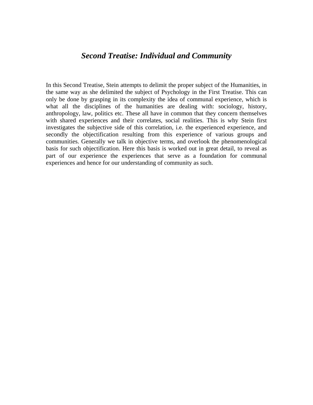# *Second Treatise: Individual and Community*

In this Second Treatise, Stein attempts to delimit the proper subject of the Humanities, in the same way as she delimited the subject of Psychology in the First Treatise. This can only be done by grasping in its complexity the idea of communal experience, which is what all the disciplines of the humanities are dealing with: sociology, history, anthropology, law, politics etc. These all have in common that they concern themselves with shared experiences and their correlates, social realities. This is why Stein first investigates the subjective side of this correlation, i.e. the experienced experience, and secondly the objectification resulting from this experience of various groups and communities. Generally we talk in objective terms, and overlook the phenomenological basis for such objectification. Here this basis is worked out in great detail, to reveal as part of our experience the experiences that serve as a foundation for communal experiences and hence for our understanding of community as such.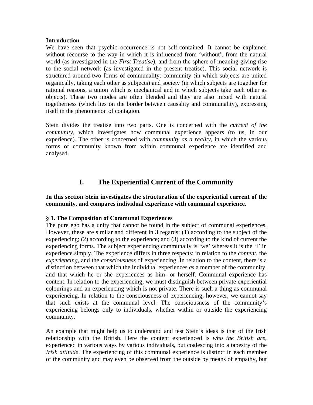#### **Introduction**

We have seen that psychic occurrence is not self-contained. It cannot be explained without recourse to the way in which it is influenced from 'without', from the natural world (as investigated in the *First Treatise*), and from the sphere of meaning giving rise to the social network (as investigated in the present treatise). This social network is structured around two forms of communality: community (in which subjects are united organically, taking each other as subjects) and society (in which subjects are together for rational reasons, a union which is mechanical and in which subjects take each other as objects). These two modes are often blended and they are also mixed with natural togetherness (which lies on the border between causality and communality), expressing itself in the phenomenon of contagion.

Stein divides the treatise into two parts. One is concerned with the *current of the community*, which investigates how communal experience appears (to us, in our experience). The other is concerned with *community as a reality*, in which the various forms of community known from within communal experience are identified and analysed.

## **I. The Experiential Current of the Community**

#### **In this section Stein investigates the structuration of the experiential current of the community, and compares individual experience with communal experience.**

#### **§ 1. The Composition of Communal Experiences**

The pure ego has a unity that cannot be found in the subject of communal experiences. However, these are similar and different in 3 regards: (1) according to the subject of the experiencing; (2) according to the experience; and (3) according to the kind of current the experiencing forms. The subject experiencing communally is 'we' whereas it is the 'I' in experience simply. The experience differs in three respects: in relation to the *content*, the *experiencing,* and the *consciousness* of experiencing. In relation to the content, there is a distinction between that which the individual experiences *as* a member of the community, and that which he or she experiences as him- or herself. Communal experience has content. In relation to the experiencing, we must distinguish between private experiential colourings and an experiencing which is not private. There is such a thing as communal experiencing. In relation to the consciousness of experiencing, however, we cannot say that such exists at the communal level. The consciousness of the community's experiencing belongs only to individuals, whether within or outside the experiencing community.

An example that might help us to understand and test Stein's ideas is that of the Irish relationship with the British. Here the content experienced is *who the British are*, experienced in various ways by various individuals, but coalescing into a tapestry of the *Irish attitude*. The experiencing of this communal experience is distinct in each member of the community and may even be observed from the outside by means of empathy, but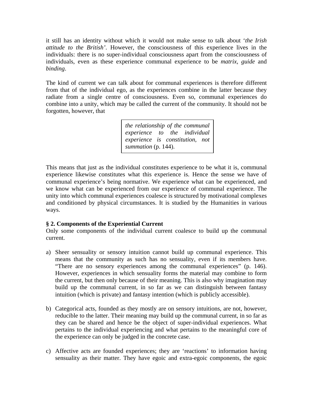it still has an identity without which it would not make sense to talk about '*the Irish attitude to the British'*. However, the consciousness of this experience lives in the individuals: there is no super-individual consciousness apart from the consciousness of individuals, even as these experience communal experience to be *matrix, guide* and *binding*.

The kind of current we can talk about for communal experiences is therefore different from that of the individual ego, as the experiences combine in the latter because they radiate from a single centre of consciousness. Even so, communal experiences do combine into a unity, which may be called the current of the community. It should not be forgotten, however, that

> *the relationship of the communal experience to the individual experience is constitution, not summation* (p. 144).

This means that just as the individual constitutes experience to be what it is, communal experience likewise constitutes what this experience is. Hence the sense we have of communal experience's being normative. We experience what can be experienced, and we know what can be experienced from our experience of communal experience. The unity into which communal experiences coalesce is structured by motivational complexes and conditioned by physical circumstances. It is studied by the Humanities in various ways.

## **§ 2. Components of the Experiential Current**

Only some components of the individual current coalesce to build up the communal current.

- a) Sheer sensuality or sensory intuition cannot build up communal experience. This means that the community as such has no sensuality, even if its members have. "There are no sensory experiences among the communal experiences" (p. 146). However, experiences in which sensuality forms the material may combine to form the current, but then only because of their meaning. This is also why imagination may build up the communal current, in so far as we can distinguish between fantasy intuition (which is private) and fantasy intention (which is publicly accessible).
- b) Categorical acts, founded as they mostly are on sensory intuitions, are not, however, reducible to the latter. Their meaning may build up the communal current, in so far as they can be shared and hence be the object of super-individual experiences. What pertains to the individual experiencing and what pertains to the meaningful core of the experience can only be judged in the concrete case.
- c) Affective acts are founded experiences; they are 'reactions' to information having sensuality as their matter. They have egoic and extra-egoic components, the egoic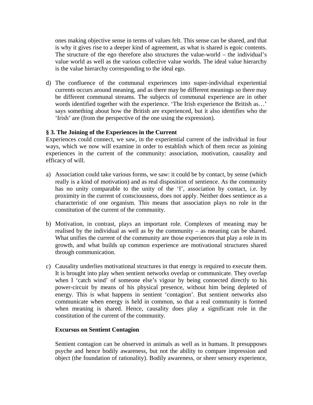ones making objective sense in terms of values felt. This sense can be shared, and that is why it gives rise to a deeper kind of agreement, as what is shared is egoic contents. The structure of the ego therefore also structures the value-world – the individual's value world as well as the various collective value worlds. The ideal value hierarchy is the value hierarchy corresponding to the ideal ego.

d) The confluence of the communal experiences into super-individual experiential currents occurs around meaning, and as there may be different meanings so there may be different communal streams. The subjects of communal experience are in other words identified together with the experience. 'The Irish experience the British as...' says something about how the British are experienced, but it also identifies who the 'Irish' are (from the perspective of the one using the expression).

#### **§ 3. The Joining of the Experiences in the Current**

Experiences could connect, we saw, in the experiential current of the individual in four ways, which we now will examine in order to establish which of them recur as joining experiences in the current of the community: association, motivation, causality and efficacy of will.

- a) Association could take various forms, we saw: it could be by contact, by sense (which really is a kind of motivation) and as real disposition of sentience. As the community has no unity comparable to the unity of the 'I', association by contact, i.e. by proximity in the current of consciousness, does not apply. Neither does sentience as a characteristic of one organism. This means that association plays no role in the constitution of the current of the community.
- b) Motivation, in contrast, plays an important role. Complexes of meaning may be realised by the individual as well as by the community – as meaning can be shared. What unifies the current of the community are those experiences that play a role in its growth, and what builds up common experience are motivational structures shared through communication.
- c) Causality underlies motivational structures in that energy is required to execute them. It is brought into play when sentient networks overlap or communicate. They overlap when I 'catch wind' of someone else's vigour by being connected directly to his power-circuit by means of his physical presence, without him being depleted of energy. This is what happens in sentient 'contagion'. But sentient networks also communicate when energy is held in common, so that a real community is formed when meaning is shared. Hence, causality does play a significant role in the constitution of the current of the community.

#### **Excursus on Sentient Contagion**

Sentient contagion can be observed in animals as well as in humans. It presupposes psyche and hence bodily awareness, but not the ability to compare impression and object (the foundation of rationality). Bodily awareness, or sheer sensory experience,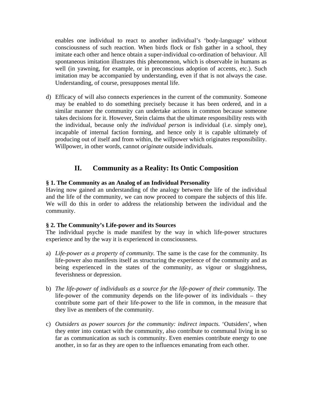enables one individual to react to another individual's 'body-language' without consciousness of such reaction. When birds flock or fish gather in a school, they imitate each other and hence obtain a super-individual co-ordination of behaviour. All spontaneous imitation illustrates this phenomenon, which is observable in humans as well (in yawning, for example, or in preconscious adoption of accents, etc.). Such imitation may be accompanied by understanding, even if that is not always the case. Understanding, of course, presupposes mental life.

d) Efficacy of will also connects experiences in the current of the community. Someone may be enabled to do something precisely because it has been ordered, and in a similar manner the community can undertake actions in common because someone takes decisions for it. However, Stein claims that the ultimate responsibility rests with the individual, because only *the individual person* is individual (i.e. simply one), incapable of internal faction forming, and hence only it is capable ultimately of producing out of itself and from within, the willpower which originates responsibility. Willpower, in other words, cannot *originate* outside individuals.

## **II. Community as a Reality: Its Ontic Composition**

## **§ 1. The Community as an Analog of an Individual Personality**

Having now gained an understanding of the analogy between the life of the individual and the life of the community, we can now proceed to compare the subjects of this life. We will do this in order to address the relationship between the individual and the community.

## **§ 2. The Community's Life-power and its Sources**

The individual psyche is made manifest by the way in which life-power structures experience and by the way it is experienced in consciousness.

- a) *Life-power as a property of community.* The same is the case for the community. Its life-power also manifests itself as structuring the experience of the community and as being experienced in the states of the community, as vigour or sluggishness, feverishness or depression.
- b) *The life-power of individuals as a source for the life-power of their community.* The life-power of the community depends on the life-power of its individuals – they contribute some part of their life-power to the life in common, in the measure that they live as members of the community.
- c) *Outsiders as power sources for the community: indirect impacts.* 'Outsiders', when they enter into contact with the community, also contribute to communal living in so far as communication as such is community. Even enemies contribute energy to one another, in so far as they are open to the influences emanating from each other.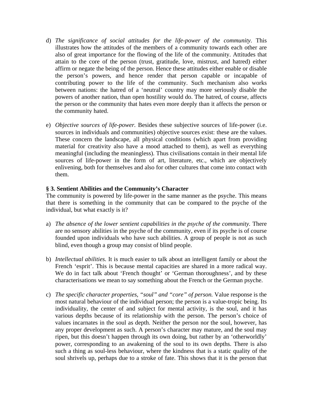- d) *The significance of social attitudes for the life-power of the community.* This illustrates how the attitudes of the members of a community towards each other are also of great importance for the flowing of the life of the community. Attitudes that attain to the core of the person (trust, gratitude, love, mistrust, and hatred) either affirm or negate the being of the person. Hence these attitudes either enable or disable the person's powers, and hence render that person capable or incapable of contributing power to the life of the community. Such mechanism also works between nations: the hatred of a 'neutral' country may more seriously disable the powers of another nation, than open hostility would do. The hatred, of course, affects the person or the community that hates even more deeply than it affects the person or the community hated.
- e) *Objective sources of life-power.* Besides these subjective sources of life-power (i.e. sources in individuals and communities) objective sources exist: these are the values. These concern the landscape, all physical conditions (which apart from providing material for creativity also have a mood attached to them), as well as everything meaningful (including the meaningless). Thus civilisations contain in their mental life sources of life-power in the form of art, literature, etc., which are objectively enlivening, both for themselves and also for other cultures that come into contact with them.

#### **§ 3. Sentient Abilities and the Community's Character**

The community is powered by life-power in the same manner as the psyche. This means that there is something in the community that can be compared to the psyche of the individual, but what exactly is it?

- a) *The absence of the lower sentient capabilities in the psyche of the community.* There are no sensory abilities in the psyche of the community, even if its psyche is of course founded upon individuals who have such abilities. A group of people is not as such blind, even though a group may consist of blind people.
- b) *Intellectual abilities.* It is much easier to talk about an intelligent family or about the French 'esprit'. This is because mental capacities are shared in a more radical way. We do in fact talk about 'French thought' or 'German thoroughness', and by these characterisations we mean to say something about the French or the German psyche.
- c) *The specific character properties, "soul" and "core" of person.* Value response is the most natural behaviour of the individual person; the person is a value-tropic being. Its individuality, the center of and subject for mental activity, is the soul, and it has various depths because of its relationship with the person. The person's choice of values incarnates in the soul as depth. Neither the person nor the soul, however, has any proper development as such. A person's character may mature, and the soul may ripen, but this doesn't happen through its own doing, but rather by an 'otherworldly' power, corresponding to an awakening of the soul to its own depths. There is also such a thing as soul-less behaviour, where the kindness that is a static quality of the soul shrivels up, perhaps due to a stroke of fate. This shows that it is the person that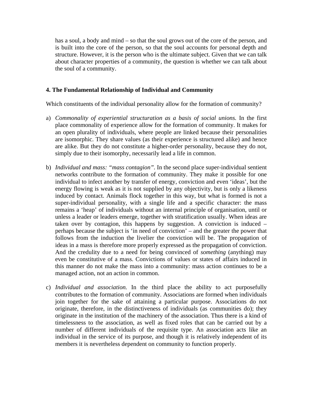has a soul, a body and mind – so that the soul grows out of the core of the person, and is built into the core of the person, so that the soul accounts for personal depth and structure. However, it is the person who is the ultimate subject. Given that we can talk about character properties of a community, the question is whether we can talk about the soul of a community.

#### **4. The Fundamental Relationship of Individual and Community**

Which constituents of the individual personality allow for the formation of community?

- a) *Commonality of experiential structuration as a basis of social unions.* In the first place commonality of experience allow for the formation of community. It makes for an open plurality of individuals, where people are linked because their personalities are isomorphic. They share values (as their experience is structured alike) and hence are alike. But they do not constitute a higher-order personality, because they do not, simply due to their isomorphy, necessarily lead a life in common.
- b) *Individual and mass: "mass contagion".* In the second place super-individual sentient networks contribute to the formation of community. They make it possible for one individual to infect another by transfer of energy, conviction and even 'ideas', but the energy flowing is weak as it is not supplied by any objectivity, but is only a likeness induced by contact. Animals flock together in this way, but what is formed is not a super-individual personality, with a single life and a specific character: the mass remains a 'heap' of individuals without an internal principle of organisation, until or unless a leader or leaders emerge, together with stratification usually. When ideas are taken over by contagion, this happens by suggestion. A conviction is induced – perhaps because the subject is 'in need of conviction' – and the greater the power that follows from the induction the livelier the conviction will be. The propagation of ideas in a mass is therefore more properly expressed as the propagation of conviction. And the credulity due to a need for being convinced of *something* (anything) may even be constitutive of a mass. Convictions of values or states of affairs induced in this manner do not make the mass into a community: mass action continues to be a managed action, not an action in common.
- c) *Individual and association.* In the third place the ability to act purposefully contributes to the formation of community. Associations are formed when individuals join together for the sake of attaining a particular purpose. Associations do not originate, therefore, in the distinctiveness of individuals (as communities do); they originate in the institution of the machinery of the association. Thus there is a kind of timelessness to the association, as well as fixed roles that can be carried out by a number of different individuals of the requisite type. An association acts like an individual in the service of its purpose, and though it is relatively independent of its members it is nevertheless dependent on community to function properly.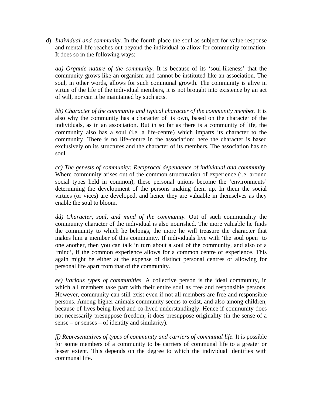d) *Individual and community.* In the fourth place the soul as subject for value-response and mental life reaches out beyond the individual to allow for community formation. It does so in the following ways:

*aa) Organic nature of the community.* It is because of its 'soul-likeness' that the community grows like an organism and cannot be instituted like an association. The soul, in other words, allows for such communal growth. The community is alive in virtue of the life of the individual members, it is not brought into existence by an act of will, nor can it be maintained by such acts.

*bb) Character of the community and typical character of the community member*. It is also why the community has a character of its own, based on the character of the individuals, as in an association. But in so far as there is a community of life, the community also has a soul (i.e. a life-centre) which imparts its character to the community. There is no life-centre in the association: here the character is based exclusively on its structures and the character of its members. The association has no soul.

*cc) The genesis of community: Reciprocal dependence of individual and community.* Where community arises out of the common structuration of experience (i.e. around social types held in common), these personal unions become the 'environments' determining the development of the persons making them up. In them the social virtues (or vices) are developed, and hence they are valuable in themselves as they enable the soul to bloom.

*dd) Character, soul, and mind of the community.* Out of such communality the community character of the individual is also nourished. The more valuable he finds the community to which he belongs, the more he will treasure the character that makes him a member of this community. If individuals live with 'the soul open' to one another, then you can talk in turn about a soul of the community, and also of a 'mind', if the common experience allows for a common centre of experience. This again might be either at the expense of distinct personal centres or allowing for personal life apart from that of the community.

*ee) Various types of communities.* A collective person is the ideal community, in which all members take part with their entire soul as free and responsible persons. However, community can still exist even if not all members are free and responsible persons. Among higher animals community seems to exist, and also among children, because of lives being lived and co-lived understandingly. Hence if community does not necessarily presuppose freedom, it does presuppose originality (in the sense of a sense – or senses – of identity and similarity).

*ff) Representatives of types of community and carriers of communal life.* It is possible for some members of a community to be carriers of communal life to a greater or lesser extent. This depends on the degree to which the individual identifies with communal life.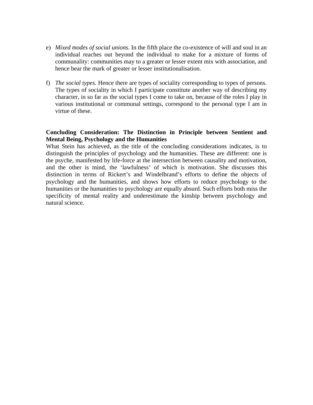- e) *Mixed modes of social unions.* In the fifth place the co-existence of will and soul in an individual reaches out beyond the individual to make for a mixture of forms of communality: communities may to a greater or lesser extent mix with association, and hence bear the mark of greater or lesser institutionalisation.
- f) *The social types.* Hence there are types of sociality corresponding to types of persons. The types of sociality in which I participate constitute another way of describing my character, in so far as the social types I come to take on, because of the roles I play in various institutional or communal settings, correspond to the personal type I am in virtue of these.

#### **Concluding Consideration: The Distinction in Principle between Sentient and Mental Being, Psychology and the Humanities**

What Stein has achieved, as the title of the concluding considerations indicates, is to distinguish the principles of psychology and the humanities. These are different: one is the psyche, manifested by life-force at the intersection between causality and motivation, and the other is mind, the 'lawfulness' of which is motivation. She discusses this distinction in terms of Rickert's and Windelbrand's efforts to define the objects of psychology and the humanities, and shows how efforts to reduce psychology to the humanities or the humanities to psychology are equally absurd. Such efforts both miss the specificity of mental reality and underestimate the kinship between psychology and natural science.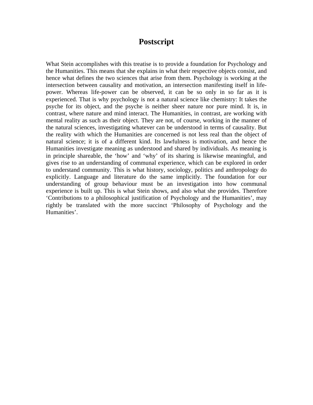# **Postscript**

What Stein accomplishes with this treatise is to provide a foundation for Psychology and the Humanities. This means that she explains in what their respective objects consist, and hence what defines the two sciences that arise from them. Psychology is working at the intersection between causality and motivation, an intersection manifesting itself in lifepower. Whereas life-power can be observed, it can be so only in so far as it is experienced. That is why psychology is not a natural science like chemistry: It takes the psyche for its object, and the psyche is neither sheer nature nor pure mind. It is, in contrast, where nature and mind interact. The Humanities, in contrast, are working with mental reality as such as their object. They are not, of course, working in the manner of the natural sciences, investigating whatever can be understood in terms of causality. But the reality with which the Humanities are concerned is not less real than the object of natural science; it is of a different kind. Its lawfulness is motivation, and hence the Humanities investigate meaning as understood and shared by individuals. As meaning is in principle shareable, the 'how' and 'why' of its sharing is likewise meaningful, and gives rise to an understanding of communal experience, which can be explored in order to understand community. This is what history, sociology, politics and anthropology do explicitly. Language and literature do the same implicitly. The foundation for our understanding of group behaviour must be an investigation into how communal experience is built up. This is what Stein shows, and also what she provides. Therefore 'Contributions to a philosophical justification of Psychology and the Humanities', may rightly be translated with the more succinct 'Philosophy of Psychology and the Humanities'.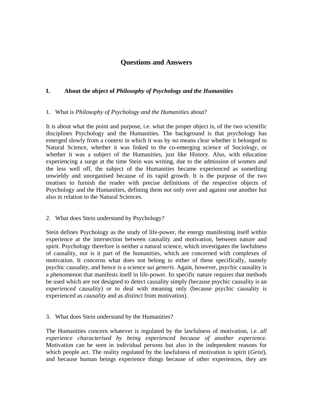## **Questions and Answers**

#### **I. About the object of** *Philosophy of Psychology and the Humanities*

#### 1. What is *Philosophy of Psychology and the Humanities* about?

It is about what the point and purpose, i.e. what the proper object is, of the two scientific disciplines Psychology and the Humanities. The background is that psychology has emerged slowly from a context in which it was by no means clear whether it belonged to Natural Science, whether it was linked to the co-emerging science of Sociology, or whether it was a subject of the Humanities, just like History. Also, with education experiencing a surge at the time Stein was writing, due to the admission of women and the less well off, the subject of the Humanities became experienced as something unwieldy and unorganised because of its rapid growth. It is the purpose of the two treatises to furnish the reader with precise definitions of the respective objects of Psychology and the Humanities, defining them not only over and against one another but also in relation to the Natural Sciences.

#### 2. What does Stein understand by Psychology?

Stein defines Psychology as the study of life-power, the energy manifesting itself within experience at the intersection between causality and motivation, between nature and spirit. Psychology therefore is neither a natural science, which investigates the lawfulness of causality, nor is it part of the humanities, which are concerned with complexes of motivation. It concerns what does not belong to either of these specifically, namely psychic causality, and hence is a science *sui generis*. Again, however, psychic causality is a phenomenon that manifests itself in life-power. Its specific nature requires that methods be used which are not designed to detect causality simply (because psychic causality is an *experienced* causality) or to deal with meaning only (because psychic causality is experienced as *causality* and as *distinct* from motivation).

#### 3. What does Stein understand by the Humanities?

The Humanities concern whatever is regulated by the lawfulness of motivation, i.e. *all experience characterised by being experienced because of another experience*. Motivation can be seen in individual persons but also in the independent reasons for which people act. The reality regulated by the lawfulness of motivation is spirit (*Geist*), and because human beings experience things because of other experiences, they are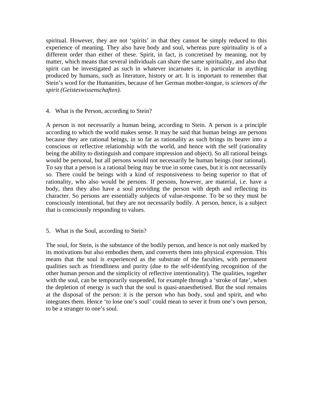spiritual. However, they are not 'spirits' in that they cannot be simply reduced to this experience of meaning. They also have body and soul, whereas pure spirituality is of a different order than either of these. Spirit, in fact, is concretised by meaning, not by matter, which means that several individuals can share the same spirituality, and also that spirit can be investigated as such in whatever incarnates it, in particular in anything produced by humans, such as literature, history or art. It is important to remember that Stein's word for the Humanities, because of her German mother-tongue, is *sciences of the spirit (Geisteswissenschaften)*.

#### 4. What is the Person, according to Stein?

A person is not necessarily a human being, according to Stein. A person is a principle according to which the world makes sense. It may be said that human beings are persons because they are rational beings, in so far as rationality as such brings its bearer into a conscious or reflective relationship with the world, and hence with the self (rationality being the ability to distinguish and compare impression and object). So all rational beings would be personal, but all persons would not necessarily be human beings (nor rational). To say that a person is a rational being may be true in some cases, but it is not necessarily so. There could be beings with a kind of responsiveness to being superior to that of rationality, who also would be persons. If persons, however, are material, i.e. have a body, then they also have a soul providing the person with depth and reflecting its character. So persons are essentially subjects of value-response. To be so they must be consciously intentional, but they are not necessarily bodily. A person, hence, is a subject that is consciously responding to values.

## 5. What is the Soul, according to Stein?

The soul, for Stein, is the substance of the bodily person, and hence is not only marked by its motivations but also embodies them, and converts them into physical expression. This means that the soul is experienced as the substrate of the faculties, with permanent qualities such as friendliness and purity (due to the self-identifying recognition of the other human person and the simplicity of reflective intentionality). The qualities, together with the soul, can be temporarily suspended, for example through a 'stroke of fate', when the depletion of energy is such that the soul is quasi-anaesthetised. But the soul remains at the disposal of the person: it is the person who has body, soul and spirit, and who integrates them. Hence 'to lose one's soul' could mean to sever it from one's own person, to be a stranger to one's soul.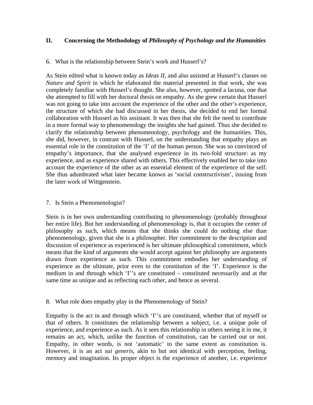### **II. Concerning the Methodology of** *Philosophy of Psychology and the Humanities*

#### 6. What is the relationship between Stein's work and Husserl's?

As Stein edited what is known today as *Ideas II*, and also assisted at Husserl's classes on *Nature and Spirit* in which he elaborated the material presented in that work, she was completely familiar with Husserl's thought. She also, however, spotted a lacuna, one that she attempted to fill with her doctoral thesis on empathy. As she grew certain that Husserl was not going to take into account the experience of the other and the other's experience, the structure of which she had discussed in her thesis, she decided to end her formal collaboration with Husserl as his assistant. It was then that she felt the need to contribute in a more formal way to phenomenology the insights she had gained. Thus she decided to clarify the relationship between phenomenology, psychology and the humanities. This, she did, however, in contrast with Husserl, on the understanding that empathy plays an essential role in the constitution of the 'I' of the human person. She was so convinced of empathy's importance, that she analysed experience in its two-fold structure: as my experience, and as experience shared with others. This effectively enabled her to take into account the experience of the other as an essential element of the experience of the self. She thus adumbrated what later became known as 'social constructivism', issuing from the later work of Wittgenstein.

#### 7. Is Stein a Phenomenologist?

Stein is in her own understanding contributing to phenomenology (probably throughout her entire life). But her understanding of phenomenology is, that it occupies the center of philosophy as such, which means that she thinks she could do nothing else than phenomenology, given that she is a philosopher. Her commitment to the description and discussion of experience as experienced is her ultimate philosophical commitment, which means that the kind of arguments she would accept against her philosophy are arguments drawn from experience as such. This commitment embodies her understanding of experience as the ultimate, prior even to the constitution of the 'I'. Experience is the medium in and through which 'I''s are constituted – constituted necessarily and at the same time as unique and as reflecting each other, and hence as several.

#### 8. What role does empathy play in the Phenomenology of Stein?

Empathy is the act in and through which 'I''s are constituted, whether that of myself or that of others. It constitutes the relationship between a subject, i.e. a unique pole of experience, and experience as such. As it sees this relationship in others seeing it in me, it remains an act, which, unlike the function of constitution, can be carried out or not. Empathy, in other words, is not 'automatic' to the same extent as constitution is. However, it is an act *sui generis*, akin to but not identical with perception, feeling, memory and imagination. Its proper object is the experience of another, i.e. experience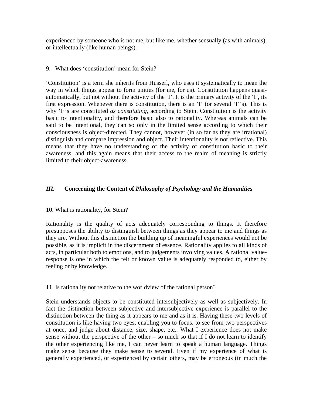experienced by someone who is not me, but like me, whether sensually (as with animals), or intellectually (like human beings).

#### 9. What does 'constitution' mean for Stein?

'Constitution' is a term she inherits from Husserl, who uses it systematically to mean the way in which things appear to form unities (for me, for us). Constitution happens quasiautomatically, but not without the activity of the 'I'. It is the primary activity of the 'I', its first expression. Whenever there is constitution, there is an 'I' (or several 'I''s). This is why 'I''s are constituted *as constituting,* according to Stein. Constitution is the activity basic to intentionality, and therefore basic also to rationality. Whereas animals can be said to be intentional, they can so only in the limited sense according to which their consciousness is object-directed. They cannot, however (in so far as they are irrational) distinguish and compare impression and object. Their intentionality is not reflective. This means that they have no understanding of the activity of constitution basic to their awareness, and this again means that their access to the realm of meaning is strictly limited to their object-awareness.

## *III.* **Concerning the Content of** *Philosophy of Psychology and the Humanities*

#### 10. What is rationality, for Stein?

Rationality is the quality of acts adequately corresponding to things. It therefore presupposes the ability to distinguish between things as they appear to me and things as they are. Without this distinction the building up of meaningful experiences would not be possible, as it is implicit in the discernment of essence. Rationality applies to all kinds of acts, in particular both to emotions, and to judgements involving values. A rational valueresponse is one in which the felt or known value is adequately responded to, either by feeling or by knowledge.

#### 11. Is rationality not relative to the worldview of the rational person?

Stein understands objects to be constituted intersubjectively as well as subjectively. In fact the distinction between subjective and intersubjective experience is parallel to the distinction between the thing as it appears to me and as it is. Having these two levels of constitution is like having two eyes, enabling you to focus, to see from two perspectives at once, and judge about distance, size, shape, etc.. What I experience does not make sense without the perspective of the other – so much so that if I do not learn to identify the other experiencing like me, I can never learn to speak a human language. Things make sense because they make sense to several. Even if my experience of what is generally experienced, or experienced by certain others, may be erroneous (in much the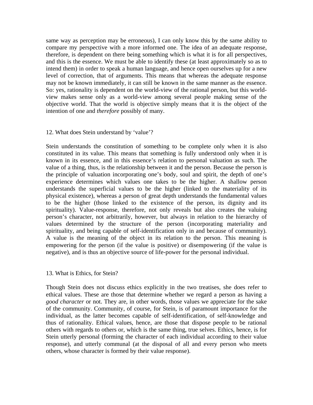same way as perception may be erroneous), I can only know this by the same ability to compare my perspective with a more informed one. The idea of an adequate response, therefore, is dependent on there being something which is what it is for all perspectives, and this is the essence. We must be able to identify these (at least approximately so as to intend them) in order to speak a human language, and hence open ourselves up for a new level of correction, that of arguments. This means that whereas the adequate response may not be known immediately, it can still be known in the same manner as the essence. So: yes, rationality is dependent on the world-view of the rational person, but this worldview makes sense only as a world-view among several people making sense of the objective world. That the world is objective simply means that it is the object of the intention of one and *therefore* possibly of many.

#### 12. What does Stein understand by 'value'?

Stein understands the constitution of something to be complete only when it is also constituted in its value. This means that something is fully understood only when it is known in its essence, and in this essence's relation to personal valuation as such. The value of a thing, thus, is the relationship between it and the person. Because the person is the principle of valuation incorporating one's body, soul and spirit, the depth of one's experience determines which values one takes to be the higher. A shallow person understands the superficial values to be the higher (linked to the materiality of its physical existence), whereas a person of great depth understands the fundamental values to be the higher (those linked to the existence of the person, its dignity and its spirituality). Value-response, therefore, not only reveals but also creates the valuing person's character, not arbitrarily, however, but always in relation to the hierarchy of values determined by the structure of the person (incorporating materiality and spirituality, and being capable of self-identification only in and because of community). A value is the meaning of the object in its relation to the person. This meaning is empowering for the person (if the value is positive) or disempowering (if the value is negative), and is thus an objective source of life-power for the personal individual.

#### 13. What is Ethics, for Stein?

Though Stein does not discuss ethics explicitly in the two treatises, she does refer to ethical values. These are those that determine whether we regard a person as having a *good character* or not. They are, in other words, those values we appreciate for the sake of the community. Community, of course, for Stein, is of paramount importance for the individual, as the latter becomes capable of self-identification, of self-knowledge and thus of rationality. Ethical values, hence, are those that dispose people to be rational others with regards to others or, which is the same thing, true selves. Ethics, hence, is for Stein utterly personal (forming the character of each individual according to their value response), and utterly communal (at the disposal of all and every person who meets others, whose character is formed by their value response).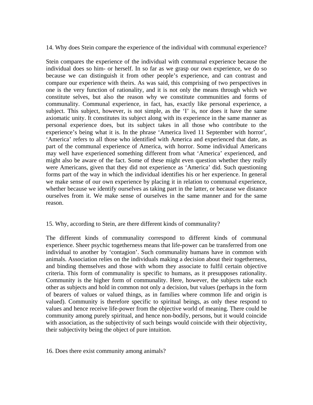14. Why does Stein compare the experience of the individual with communal experience?

Stein compares the experience of the individual with communal experience because the individual does so him- or herself. In so far as we grasp our own experience, we do so because we can distinguish it from other people's experience, and can contrast and compare our experience with theirs. As was said, this comprising of two perspectives in one is the very function of rationality, and it is not only the means through which we constitute selves, but also the reason why we constitute communities and forms of communality. Communal experience, in fact, has, exactly like personal experience, a subject. This subject, however, is not simple, as the 'I' is, nor does it have the same axiomatic unity. It constitutes its subject along with its experience in the same manner as personal experience does, but its subject takes in all those who contribute to the experience's being what it is. In the phrase 'America lived 11 September with horror', 'America' refers to all those who identified with America and experienced that date, as part of the communal experience of America, with horror. Some individual Americans may well have experienced something different from what 'America' experienced, and might also be aware of the fact. Some of these might even question whether they really were Americans, given that they did not experience as 'America' did. Such questioning forms part of the way in which the individual identifies his or her experience. In general we make sense of our own experience by placing it in relation to communal experience, whether because we identify ourselves as taking part in the latter, or because we distance ourselves from it. We make sense of ourselves in the same manner and for the same reason.

#### 15. Why, according to Stein, are there different kinds of communality?

The different kinds of communality correspond to different kinds of communal experience. Sheer psychic togetherness means that life-power can be transferred from one individual to another by 'contagion'. Such communality humans have in common with animals. Association relies on the individuals making a decision about their togetherness, and binding themselves and those with whom they associate to fulfil certain objective criteria. This form of communality is specific to humans, as it presupposes rationality. Community is the higher form of communality. Here, however, the subjects take each other as subjects and hold in common not only a decision, but values (perhaps in the form of bearers of values or valued things, as in families where common life and origin is valued). Community is therefore specific to spiritual beings, as only these respond to values and hence receive life-power from the objective world of meaning. There could be community among purely spiritual, and hence non-bodily, persons, but it would coincide with association, as the subjectivity of such beings would coincide with their objectivity, their subjectivity being the object of pure intuition.

16. Does there exist community among animals?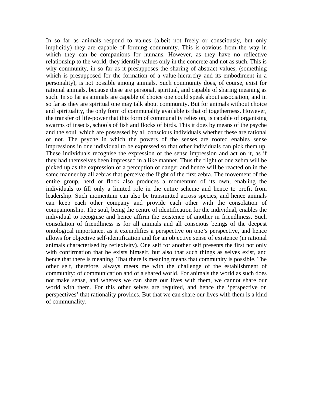In so far as animals respond to values (albeit not freely or consciously, but only implicitly) they are capable of forming community. This is obvious from the way in which they can be companions for humans. However, as they have no reflective relationship to the world, they identify values only in the concrete and not as such. This is why community, in so far as it presupposes the sharing of abstract values, (something which is presupposed for the formation of a value-hierarchy and its embodiment in a personality), is not possible among animals. Such community does, of course, exist for rational animals, because these are personal, spiritual, and capable of sharing meaning as such. In so far as animals are capable of choice one could speak about association, and in so far as they are spiritual one may talk about community. But for animals without choice and spirituality, the only form of communality available is that of togetherness. However, the transfer of life-power that this form of communality relies on, is capable of organising swarms of insects, schools of fish and flocks of birds. This it does by means of the psyche and the soul, which are possessed by all conscious individuals whether these are rational or not. The psyche in which the powers of the senses are rooted enables sense impressions in one individual to be expressed so that other individuals can pick them up. These individuals recognise the expression of the sense impression and act on it, as if they had themselves been impressed in a like manner. Thus the flight of one zebra will be picked up as the expression of a perception of danger and hence will be reacted on in the same manner by all zebras that perceive the flight of the first zebra. The movement of the entire group, herd or flock also produces a momentum of its own, enabling the individuals to fill only a limited role in the entire scheme and hence to profit from leadership. Such momentum can also be transmitted across species, and hence animals can keep each other company and provide each other with the consolation of companionship. The soul, being the centre of identification for the individual, enables the individual to recognise and hence affirm the existence of another in friendliness. Such consolation of friendliness is for all animals and all conscious beings of the deepest ontological importance, as it exemplifies a perspective on one's perspective, and hence allows for objective self-identification and for an objective sense of existence (in rational animals characterised by reflexivity). One self for another self presents the first not only with confirmation that he exists himself, but also that such things as selves exist, and hence that there is meaning. That there is meaning means that community is possible. The other self, therefore, always meets me with the challenge of the establishment of community: of communication and of a shared world. For animals the world as such does not make sense, and whereas we can share our lives with them, we cannot share our world with them. For this other selves are required, and hence the 'perspective on perspectives' that rationality provides. But that we can share our lives with them is a kind of communality.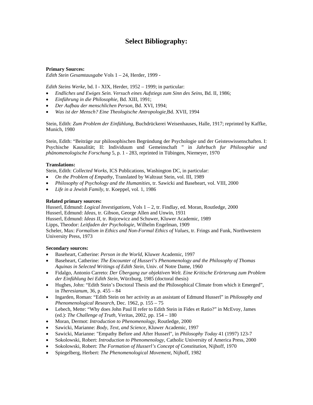## **Select Bibliography:**

#### **Primary Sources:**

*Edith Stein Gesamtausgabe* Vols 1 – 24, Herder, 1999 -

*Edith Steins Werke*, bd. I - XIX, Herder, 1952 – 1999; in particular:

- *Endliches und Ewiges Sein. Versuch eines Aufstiegs zum Sinn des Seins*, Bd. II, 1986;
- *Einführung in die Philosophie*, Bd. XIII, 1991;
- *Der Aufbau der menschlichen Person*, Bd. XVI, 1994;
- *Was ist der Mensch? Eine Theologische Antropologie*,Bd. XVII, 1994

Stein, Edith: *Zum Problem der Einfühlung*, Buchdrückerei Weisenhauses, Halle, 1917; reprinted by Kaffke, Munich, 1980

Stein, Edith: "Beiträge zur philosophischen Begründung der Psychologie und der Geisteswissenschaften. I: Psychische Kausalität; II: Individuum und Gemeinschaft " in *Jahrbuch fur Philosophie und phänomenologische Forschung* 5, p. 1 - 283, reprinted in Tübingen, Niemeyer, 1970

#### **Translations:**

Stein, Edith: *Collected Works*, ICS Publications, Washington DC, in particular:

- *On the Problem of Empathy,* Translated by Waltraut Stein, vol. III, 1989
- *Philosophy of Psychology and the Humanities*, tr. Sawicki and Baseheart, vol. VIII, 2000
- *Life in a Jewish Family*, tr. Koeppel, vol. 1, 1986

#### **Related primary sources:**

Husserl, Edmund: *Logical Investigations*, Vols  $1 - 2$ , tr. Findlay, ed. Moran, Routledge, 2000 Husserl, Edmund: *Ideas*, tr. Gibson, George Allen and Unwin, 1931 Husserl, Edmund: *Ideas II*, tr. Rojcewicz and Schuwer, Kluwer Academic, 1989 Lipps, Theodor: *Leitfaden der Psychologie*, Wilhelm Engelman, 1909 Scheler, Max: *Formalism in Ethics and Non-Formal Ethics of Values*, tr. Frings and Funk, Northwestern University Press, 1973

#### **Secondary sources:**

- Baseheart, Catherine: *Person in the World*, Kluwer Academic, 1997
- Baseheart, Catherine: *The Encounter of Husserl's Phenomenology and the Philosophy of Thomas Aquinas in Selected Writings of Edith Stein*, Univ. of Notre Dame, 1960
- Fidalgo, Antonio Carreto: *Der Übergang zur objektiven Welt. Eine Kritische Erörterung zum Problem der Einfühlung bei Edith Stein*, Würzburg, 1985 (doctoral thesis)
- Hughes, John: "Edith Stein's Doctoral Thesis and the Philosophical Climate from which it Emerged", in *Theresianum*, 36, p. 455 – 84
- Ingarden, Roman: "Edith Stein on her activity as an assistant of Edmund Husserl" in *Philosophy and Phenomenological Research*, Dec. 1962, p. 155 – 75
- Lebech, Mette: "Why does John Paul II refer to Edith Stein in Fides et Ratio?" in McEvoy, James (ed.): *The Challenge of Truth*, Veritas, 2002, pp. 154 – 180
- Moran, Dermot: *Introduction to Phenomenology*, Routledge, 2000
- Sawicki, Marianne: *Body, Text, and Science*, Kluwer Academic, 1997
- Sawicki, Marianne: "Empathy Before and After Husserl", in *Philosophy Today* 41 (1997) 123-7
- Sokolowski, Robert: *Introduction to Phenomenology*, Catholic University of America Press, 2000
- Sokolowski, Robert: *The Formation of Husserl's Concept of Constitution*, Nijhoff, 1970
- Spiegelberg, Herbert: *The Phenomenological Movement,* Nijhoff, 1982